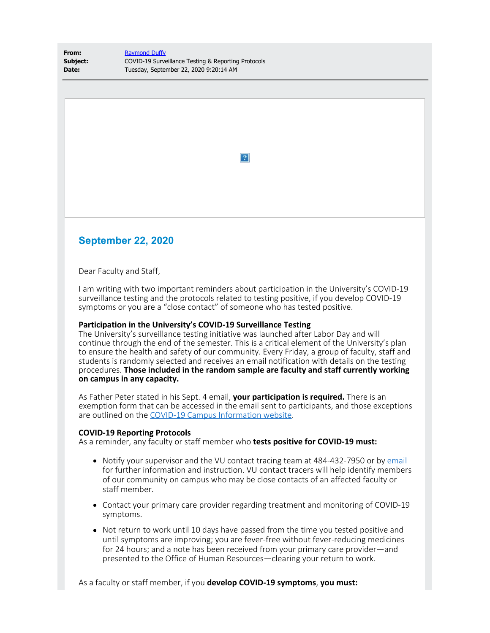| From:    | <b>Raymond Duffy</b>                                |
|----------|-----------------------------------------------------|
| Subject: | COVID-19 Surveillance Testing & Reporting Protocols |
| Date:    | Tuesday, September 22, 2020 9:20:14 AM              |

 $\boxed{?}$ 

## **September 22, 2020**

Dear Faculty and Staff,

I am writing with two important reminders about participation in the University's COVID-19 surveillance testing and the protocols related to testing positive, if you develop COVID-19 symptoms or you are a "close contact" of someone who has tested positive.

## **Participation in the University's COVID-19 Surveillance Testing**

The University's surveillance testing initiative was launched after Labor Day and will continue through the end of the semester. This is a critical element of the University's plan to ensure the health and safety of our community. Every Friday, a group of faculty, staff and students is randomly selected and receives an email notification with details on the testing procedures. **Those included in the random sample are faculty and staff currently working on campus in any capacity.**

As Father Peter stated in his Sept. 4 email, **your participation is required.** There is an exemption form that can be accessed in the email sent to participants, and those exceptions are outlined on the [COVID-19 Campus Information website.](https://www1.villanova.edu/university/return-to-campus/surveillancetesting.html)

## **COVID-19 Reporting Protocols**

As a reminder, any faculty or staff member who **tests positive for COVID-19 must:**

- Notify your supervisor and the VU contact tracing team at 484-432-7950 or by  $email$ </u> for further information and instruction. VU contact tracers will help identify members of our community on campus who may be close contacts of an affected faculty or staff member.
- Contact your primary care provider regarding treatment and monitoring of COVID-19 symptoms.
- Not return to work until 10 days have passed from the time you tested positive and until symptoms are improving; you are fever-free without fever-reducing medicines for 24 hours; and a note has been received from your primary care provider—and presented to the Office of Human Resources—clearing your return to work.

As a faculty or staff member, if you **develop COVID-19 symptoms**, **you must:**